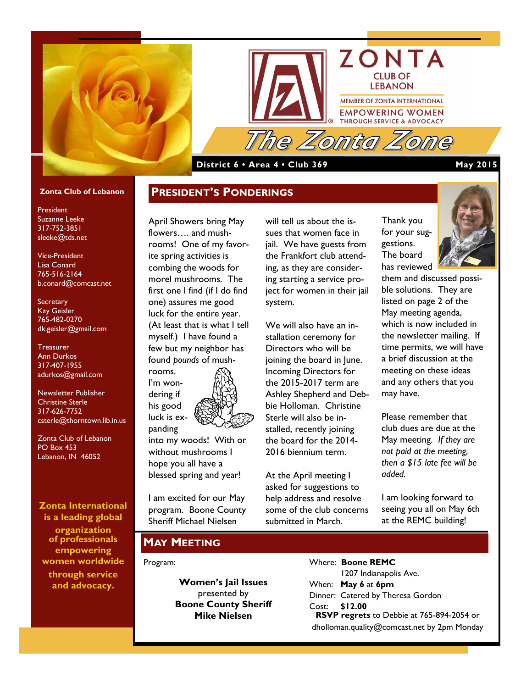



## **District 6 • Area 4 • Club 369 May 2015**

### **Zonta Club of Lebanon**

President Suzanne Leeke 317-752-3851 sleeke@tds.net

Vice-President Lisa Conard 765-516-2164 b.conard@comcast.net

**Secretary** Kay Geisler 765-482-0270 dk.geisler@gmail.com

**Treasurer** Ann Durkos 317-407-1955 adurkos@gmail.com

Newsletter Publisher Christine Sterle 317-626-7752 csterle@thorntown.lib.in.us

Zonta Club of Lebanon PO Box 453 Lebanon, IN 46052

**Zonta International is a leading global** 

**organization of professionals empowering women worldwide through service and advocacy.**

April Showers bring May flowers…. and mushrooms! One of my favorite spring activities is combing the woods for morel mushrooms. The first one I find (if I do find one) assures me good luck for the entire year. (At least that is what I tell myself.) I have found a few but my neighbor has found *pounds* of mushrooms. I'm won-

**PRESIDENT'S PONDERINGS**



into my woods! With or without mushrooms I hope you all have a blessed spring and year!

I am excited for our May program. Boone County Sheriff Michael Nielsen

will tell us about the issues that women face in jail. We have guests from the Frankfort club attending, as they are considering starting a service project for women in their jail system.

We will also have an installation ceremony for Directors who will be joining the board in June. Incoming Directors for the 2015-2017 term are Ashley Shepherd and Debbie Holloman. Christine Sterle will also be installed, recently joining the board for the 2014- 2016 biennium term.

At the April meeting I asked for suggestions to help address and resolve some of the club concerns submitted in March.

Thank you for your suggestions. The board has reviewed



them and discussed possible solutions. They are listed on page 2 of the May meeting agenda, which is now included in the newsletter mailing. If time permits, we will have a brief discussion at the meeting on these ideas and any others that you may have.

Please remember that club dues are due at the May meeting. *If they are not paid at the meeting, then a \$15 late fee will be added.*

I am looking forward to seeing you all on May 6th at the REMC building!

### **MAY MEETING**

#### Program:

**Women's Jail Issues** presented by **Boone County Sheriff Mike Nielsen**

Where: **Boone REMC** 1207 Indianapolis Ave. When: **May 6** at **6pm** Dinner: Catered by Theresa Gordon Cost: **\$12.00 RSVP regrets** to Debbie at 765-894-2054 or dholloman.quality@comcast.net by 2pm Monday